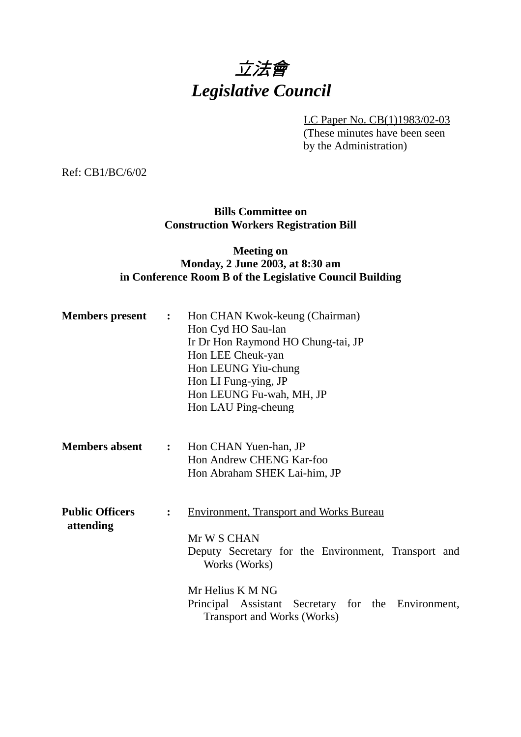# 立法會 *Legislative Council*

LC Paper No. CB(1)1983/02-03

(These minutes have been seen by the Administration)

Ref: CB1/BC/6/02

## **Bills Committee on Construction Workers Registration Bill**

## **Meeting on Monday, 2 June 2003, at 8:30 am in Conference Room B of the Legislative Council Building**

| <b>Members present</b>              | $\ddot{\cdot}$ | Hon CHAN Kwok-keung (Chairman)<br>Hon Cyd HO Sau-lan<br>Ir Dr Hon Raymond HO Chung-tai, JP<br>Hon LEE Cheuk-yan<br>Hon LEUNG Yiu-chung<br>Hon LI Fung-ying, JP<br>Hon LEUNG Fu-wah, MH, JP<br>Hon LAU Ping-cheung                                     |
|-------------------------------------|----------------|-------------------------------------------------------------------------------------------------------------------------------------------------------------------------------------------------------------------------------------------------------|
| <b>Members absent</b>               |                | : Hon CHAN Yuen-han, JP<br>Hon Andrew CHENG Kar-foo<br>Hon Abraham SHEK Lai-him, JP                                                                                                                                                                   |
| <b>Public Officers</b><br>attending | $\ddot{\cdot}$ | <b>Environment, Transport and Works Bureau</b><br>Mr W S CHAN<br>Deputy Secretary for the Environment, Transport and<br>Works (Works)<br>Mr Helius K M NG<br>Principal Assistant Secretary for the Environment,<br><b>Transport and Works (Works)</b> |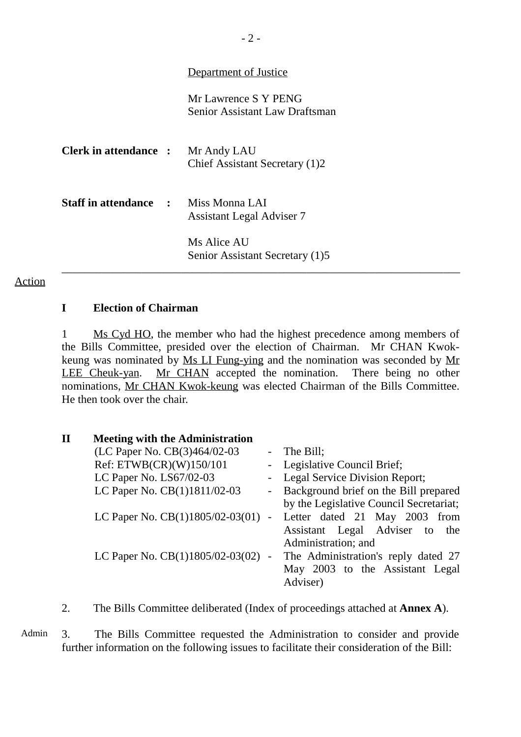### Department of Justice

Mr Lawrence S Y PENG Senior Assistant Law Draftsman

| <b>Clerk in attendance :</b>                | Mr Andy LAU<br>Chief Assistant Secretary (1)2  |
|---------------------------------------------|------------------------------------------------|
| <b>Staff in attendance :</b> Miss Monna LAI | <b>Assistant Legal Adviser 7</b>               |
|                                             | Ms Alice AU<br>Senior Assistant Secretary (1)5 |

#### Action

#### **I Election of Chairman**

1 Ms Cyd HO, the member who had the highest precedence among members of the Bills Committee, presided over the election of Chairman. Mr CHAN Kwokkeung was nominated by Ms LI Fung-ying and the nomination was seconded by Mr LEE Cheuk-yan. Mr CHAN accepted the nomination. There being no other nominations, Mr CHAN Kwok-keung was elected Chairman of the Bills Committee. He then took over the chair.

| $\mathbf{I}$ | <b>Meeting with the Administration</b>                        |                                         |
|--------------|---------------------------------------------------------------|-----------------------------------------|
|              | (LC Paper No. CB(3)464/02-03                                  | - The Bill;                             |
|              | Ref: ETWB(CR)(W)150/101                                       | - Legislative Council Brief;            |
|              | LC Paper No. LS67/02-03                                       | - Legal Service Division Report;        |
|              | LC Paper No. CB(1)1811/02-03                                  | - Background brief on the Bill prepared |
|              |                                                               | by the Legislative Council Secretariat; |
|              | LC Paper No. $CB(1)1805/02-03(01)$ - Letter dated 21 May 2003 | from                                    |
|              |                                                               | Assistant Legal Adviser to<br>the       |
|              |                                                               | Administration; and                     |
|              | LC Paper No. CB(1)1805/02-03(02) -                            | The Administration's reply dated 27     |
|              |                                                               | May 2003 to the Assistant Legal         |
|              |                                                               | Adviser)                                |

2. The Bills Committee deliberated (Index of proceedings attached at **Annex A**).

Admin 3. The Bills Committee requested the Administration to consider and provide further information on the following issues to facilitate their consideration of the Bill: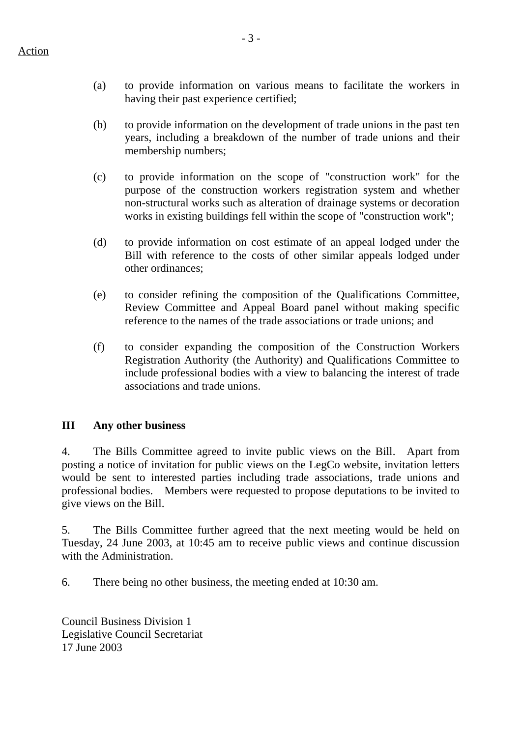- (a) to provide information on various means to facilitate the workers in having their past experience certified;
- (b) to provide information on the development of trade unions in the past ten years, including a breakdown of the number of trade unions and their membership numbers;
- (c) to provide information on the scope of "construction work" for the purpose of the construction workers registration system and whether non-structural works such as alteration of drainage systems or decoration works in existing buildings fell within the scope of "construction work";
- (d) to provide information on cost estimate of an appeal lodged under the Bill with reference to the costs of other similar appeals lodged under other ordinances;
- (e) to consider refining the composition of the Qualifications Committee, Review Committee and Appeal Board panel without making specific reference to the names of the trade associations or trade unions; and
- (f) to consider expanding the composition of the Construction Workers Registration Authority (the Authority) and Qualifications Committee to include professional bodies with a view to balancing the interest of trade associations and trade unions.

## **III Any other business**

4. The Bills Committee agreed to invite public views on the Bill. Apart from posting a notice of invitation for public views on the LegCo website, invitation letters would be sent to interested parties including trade associations, trade unions and professional bodies. Members were requested to propose deputations to be invited to give views on the Bill.

5. The Bills Committee further agreed that the next meeting would be held on Tuesday, 24 June 2003, at 10:45 am to receive public views and continue discussion with the Administration.

6. There being no other business, the meeting ended at 10:30 am.

Council Business Division 1 Legislative Council Secretariat 17 June 2003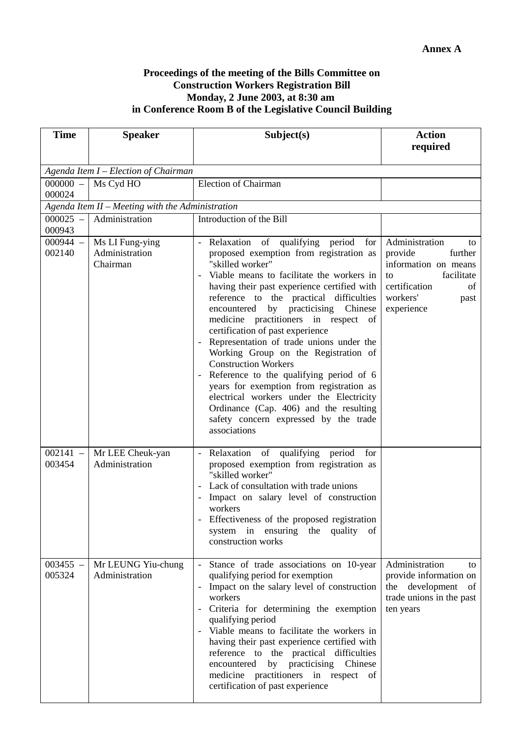#### **Proceedings of the meeting of the Bills Committee on Construction Workers Registration Bill Monday, 2 June 2003, at 8:30 am in Conference Room B of the Legislative Council Building**

| <b>Time</b>          | <b>Speaker</b>                                   | Subject(s)                                                                                                                                                                                                                                                                                                                                                                                                                                                                                                                                                                                                                                                                                                                                    | <b>Action</b><br>required                                                                                                                       |  |  |  |  |  |
|----------------------|--------------------------------------------------|-----------------------------------------------------------------------------------------------------------------------------------------------------------------------------------------------------------------------------------------------------------------------------------------------------------------------------------------------------------------------------------------------------------------------------------------------------------------------------------------------------------------------------------------------------------------------------------------------------------------------------------------------------------------------------------------------------------------------------------------------|-------------------------------------------------------------------------------------------------------------------------------------------------|--|--|--|--|--|
|                      |                                                  |                                                                                                                                                                                                                                                                                                                                                                                                                                                                                                                                                                                                                                                                                                                                               |                                                                                                                                                 |  |  |  |  |  |
|                      | Agenda Item I - Election of Chairman             |                                                                                                                                                                                                                                                                                                                                                                                                                                                                                                                                                                                                                                                                                                                                               |                                                                                                                                                 |  |  |  |  |  |
| $000000 -$<br>000024 | Ms Cyd HO                                        | <b>Election of Chairman</b>                                                                                                                                                                                                                                                                                                                                                                                                                                                                                                                                                                                                                                                                                                                   |                                                                                                                                                 |  |  |  |  |  |
|                      | Agenda Item II - Meeting with the Administration |                                                                                                                                                                                                                                                                                                                                                                                                                                                                                                                                                                                                                                                                                                                                               |                                                                                                                                                 |  |  |  |  |  |
| $000025 -$<br>000943 | Administration                                   | Introduction of the Bill                                                                                                                                                                                                                                                                                                                                                                                                                                                                                                                                                                                                                                                                                                                      |                                                                                                                                                 |  |  |  |  |  |
| $000944 -$<br>002140 | Ms LI Fung-ying<br>Administration<br>Chairman    | Relaxation of<br>qualifying period<br>$\blacksquare$<br>for<br>proposed exemption from registration as<br>"skilled worker"<br>Viable means to facilitate the workers in<br>having their past experience certified with<br>reference to the practical difficulties<br>encountered by practicising Chinese<br>medicine practitioners in respect of<br>certification of past experience<br>Representation of trade unions under the<br>Working Group on the Registration of<br><b>Construction Workers</b><br>Reference to the qualifying period of 6<br>years for exemption from registration as<br>electrical workers under the Electricity<br>Ordinance (Cap. 406) and the resulting<br>safety concern expressed by the trade<br>associations | Administration<br>to<br>provide<br>further<br>information on means<br>facilitate<br>to<br>certification<br>of<br>workers'<br>past<br>experience |  |  |  |  |  |
| $002141 -$<br>003454 | Mr LEE Cheuk-yan<br>Administration               | Relaxation of qualifying period<br>$\overline{\phantom{a}}$<br>for<br>proposed exemption from registration as<br>"skilled worker"<br>Lack of consultation with trade unions<br>Impact on salary level of construction<br>workers<br>Effectiveness of the proposed registration<br>system in ensuring the quality<br>of<br>construction works                                                                                                                                                                                                                                                                                                                                                                                                  |                                                                                                                                                 |  |  |  |  |  |
| $003455 -$<br>005324 | Mr LEUNG Yiu-chung<br>Administration             | Stance of trade associations on 10-year<br>qualifying period for exemption<br>Impact on the salary level of construction<br>workers<br>Criteria for determining the exemption<br>qualifying period<br>Viable means to facilitate the workers in<br>having their past experience certified with<br>reference to the practical difficulties<br>encountered by practicising Chinese<br>medicine practitioners in respect of<br>certification of past experience                                                                                                                                                                                                                                                                                  | Administration<br>to<br>provide information on<br>the development of<br>trade unions in the past<br>ten years                                   |  |  |  |  |  |